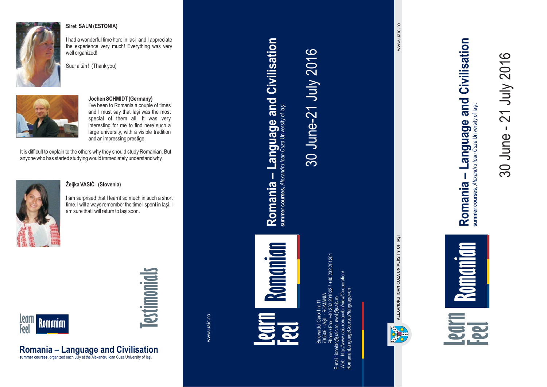

#### **Siret SALM (ESTONIA)**

I had <sup>a</sup> wonderful time here in Iasi and I appreciate the experience very much! Everything was very well organized!





### **Jochen SCHMIDT (Germany)**

I've been to Romania <sup>a</sup> couple of times and I must say that Iaşi was the most special of them all. It was very interesting for me to find here such <sup>a</sup> large university, with <sup>a</sup> visible tradition and an impressing prestige.

It is difficult to explain to the others why they should study Romanian. But anyone who has started studying would immediately understand why.



#### **Željka VASIĊ (Slovenia)**

**Romania – Language and Civilisation summer courses,** organized each July at the Alexandru Ioan Cuza University of Iaşi.

I am surprised that I learnt so much in such <sup>a</sup> short time. I will always remember the time I spent in Iaşi. I am sure that I will return to Iaşi soon.



# **Testimonials**

www.uaic.ro

**Learn Feel Feel** Romanian **Feedruary 1990 Romanian**

**Romania – Language and Civilisation**

Romania - Language and Civilisation

summer courses, Alexandru Ioan Cuza University of laşi

30 June-21 July 2016

30 June-21 July 2016

Bulevardul Carol I nr. 11 Phone / Fax: +40 232 201022 / +40 232 201201 E-mail: ionelac@uaic.ro, evoli@uaic.ro Web: http://www.uaic.ro/uaic/bin/view/Cooperation/ RomanianLanguageCourses?language=en  $\equiv$ - IAŞI - ROMANIA 232 201022 700506



www.uaic.ro www.uaic.ro

Romania - Language and Civilisation **Romania – Language and Civilisation** summer courses, Alexandru loan Cuza University of lasi. summer courses, Alexandru Ioan Cuza University of Iaşi.

30 June - 21 July 2016

30 June -

21 July 2016